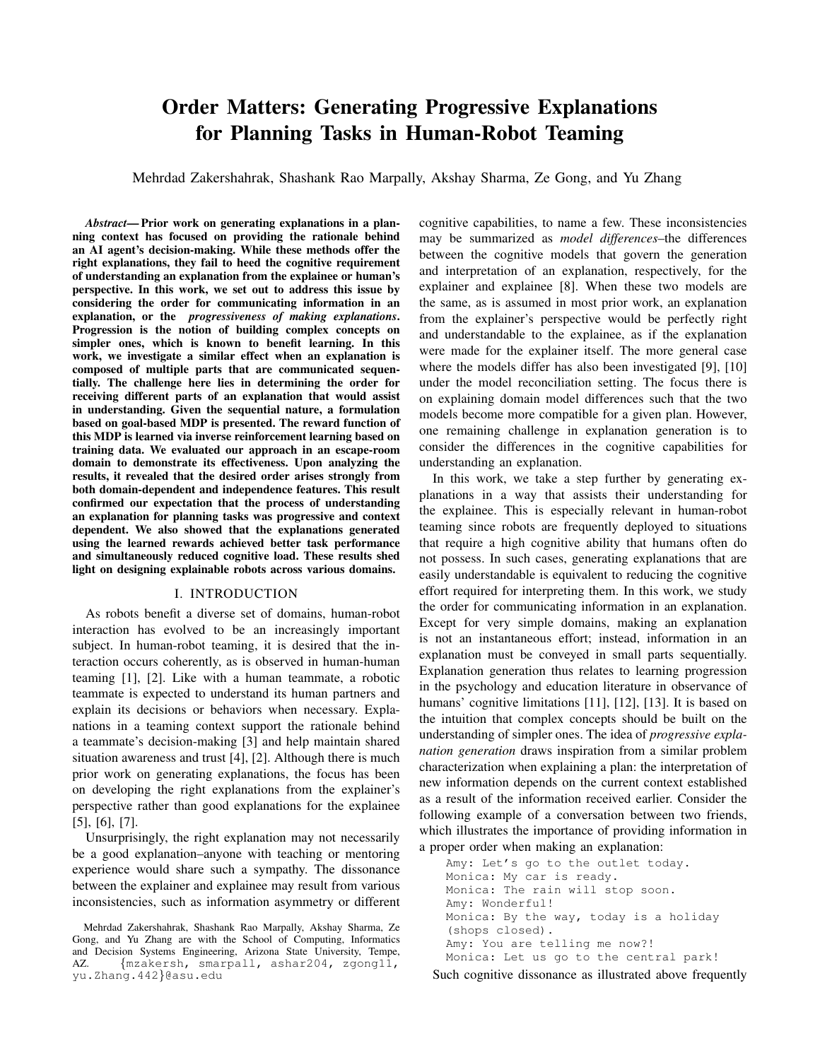# **Order Matters: Generating Progressive Explanations** for Planning Tasks in Human-Robot Teaming

Mehrdad Zakershahrak, Shashank Rao Marpally, Akshay Sharma, Ze Gong, and Yu Zhang

Abstract—Prior work on generating explanations in a planning context has focused on providing the rationale behind an AI agent's decision-making. While these methods offer the right explanations, they fail to heed the cognitive requirement of understanding an explanation from the explainee or human's perspective. In this work, we set out to address this issue by considering the order for communicating information in an explanation, or the *progressiveness* of making explanations. Progression is the notion of building complex concepts on simpler ones, which is known to benefit learning. In this work, we investigate a similar effect when an explanation is composed of multiple parts that are communicated sequentially. The challenge here lies in determining the order for receiving different parts of an explanation that would assist in understanding. Given the sequential nature, a formulation based on goal-based MDP is presented. The reward function of this MDP is learned via inverse reinforcement learning based on training data. We evaluated our approach in an escape-room domain to demonstrate its effectiveness. Upon analyzing the results, it revealed that the desired order arises strongly from both domain-dependent and independence features. This result confirmed our expectation that the process of understanding an explanation for planning tasks was progressive and context dependent. We also showed that the explanations generated using the learned rewards achieved better task performance and simultaneously reduced cognitive load. These results shed light on designing explainable robots across various domains.

#### **I. INTRODUCTION**

As robots benefit a diverse set of domains, human-robot interaction has evolved to be an increasingly important subject. In human-robot teaming, it is desired that the interaction occurs coherently, as is observed in human-human teaming [1], [2]. Like with a human teammate, a robotic teammate is expected to understand its human partners and explain its decisions or behaviors when necessary. Explanations in a teaming context support the rationale behind a teammate's decision-making [3] and help maintain shared situation awareness and trust [4], [2]. Although there is much prior work on generating explanations, the focus has been on developing the right explanations from the explainer's perspective rather than good explanations for the explainee  $[5]$ ,  $[6]$ ,  $[7]$ .

Unsurprisingly, the right explanation may not necessarily be a good explanation-anyone with teaching or mentoring experience would share such a sympathy. The dissonance between the explainer and explainee may result from various inconsistencies, such as information asymmetry or different cognitive capabilities, to name a few. These inconsistencies may be summarized as *model differences*-the differences between the cognitive models that govern the generation and interpretation of an explanation, respectively, for the explainer and explainee [8]. When these two models are the same, as is assumed in most prior work, an explanation from the explainer's perspective would be perfectly right and understandable to the explainee, as if the explanation were made for the explainer itself. The more general case where the models differ has also been investigated [9], [10] under the model reconciliation setting. The focus there is on explaining domain model differences such that the two models become more compatible for a given plan. However, one remaining challenge in explanation generation is to consider the differences in the cognitive capabilities for understanding an explanation.

In this work, we take a step further by generating explanations in a way that assists their understanding for the explainee. This is especially relevant in human-robot teaming since robots are frequently deployed to situations that require a high cognitive ability that humans often do not possess. In such cases, generating explanations that are easily understandable is equivalent to reducing the cognitive effort required for interpreting them. In this work, we study the order for communicating information in an explanation. Except for very simple domains, making an explanation is not an instantaneous effort; instead, information in an explanation must be conveyed in small parts sequentially. Explanation generation thus relates to learning progression in the psychology and education literature in observance of humans' cognitive limitations [11], [12], [13]. It is based on the intuition that complex concepts should be built on the understanding of simpler ones. The idea of *progressive expla*nation generation draws inspiration from a similar problem characterization when explaining a plan: the interpretation of new information depends on the current context established as a result of the information received earlier. Consider the following example of a conversation between two friends, which illustrates the importance of providing information in a proper order when making an explanation:

```
Amy: Let's go to the outlet today.
Monica: My car is ready.
Monica: The rain will stop soon.
Amy: Wonderful!
Monica: By the way, today is a holiday
(shops closed).
Amy: You are telling me now?!
Monica: Let us go to the central park!
```
Such cognitive dissonance as illustrated above frequently

Mehrdad Zakershahrak, Shashank Rao Marpally, Akshay Sharma, Ze Gong, and Yu Zhang are with the School of Computing, Informatics and Decision Systems Engineering, Arizona State University, Tempe,  $AZ_{n}$ {mzakersh, smarpall, ashar204, zgong11, yu.Zhang.442}@asu.edu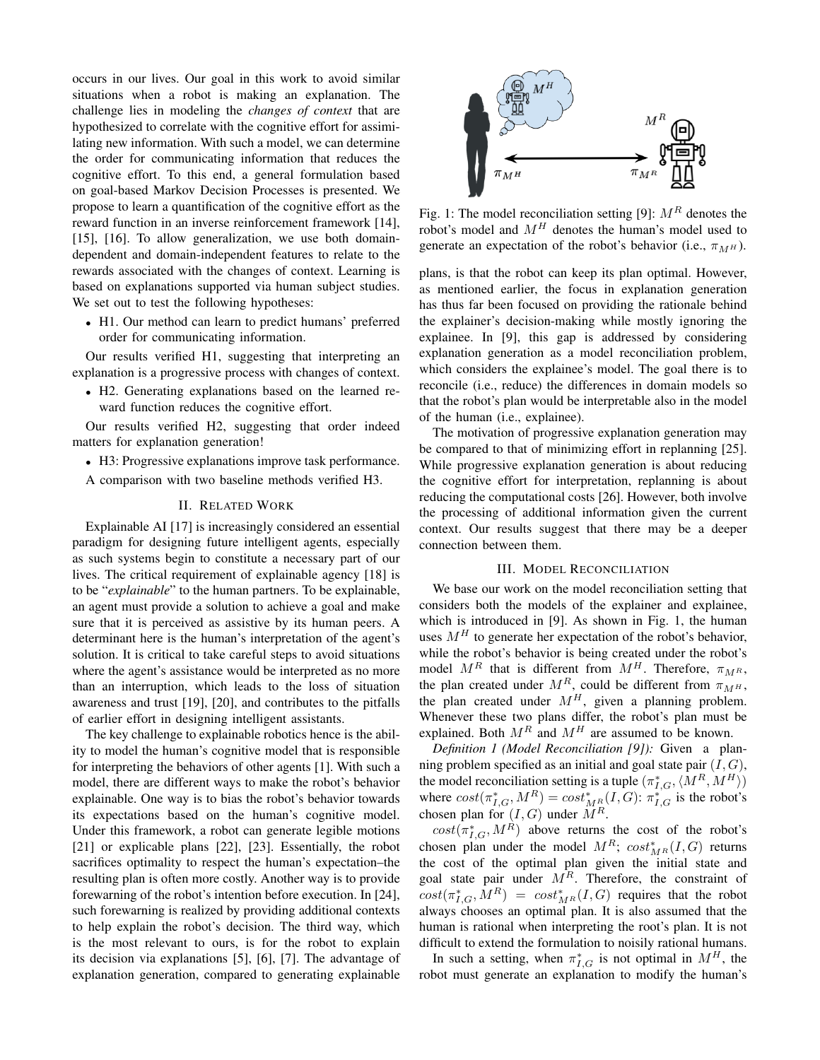occurs in our lives. Our goal in this work to avoid similar situations when a robot is making an explanation. The challenge lies in modeling the *changes of context* that are hypothesized to correlate with the cognitive effort for assimilating new information. With such a model, we can determine the order for communicating information that reduces the cognitive effort. To this end, a general formulation based on goal-based Markov Decision Processes is presented. We propose to learn a quantification of the cognitive effort as the reward function in an inverse reinforcement framework [14],  $[15]$ ,  $[16]$ . To allow generalization, we use both domaindependent and domain-independent features to relate to the rewards associated with the changes of context. Learning is based on explanations supported via human subject studies. We set out to test the following hypotheses:

• H1. Our method can learn to predict humans' preferred order for communicating information.

Our results verified H1, suggesting that interpreting an explanation is a progressive process with changes of context.

• H2. Generating explanations based on the learned reward function reduces the cognitive effort.

Our results verified H2, suggesting that order indeed matters for explanation generation!

• H3: Progressive explanations improve task performance.

A comparison with two baseline methods verified H3.

# **II. RELATED WORK**

Explainable AI [17] is increasingly considered an essential paradigm for designing future intelligent agents, especially as such systems begin to constitute a necessary part of our lives. The critical requirement of explainable agency [18] is to be "explainable" to the human partners. To be explainable, an agent must provide a solution to achieve a goal and make sure that it is perceived as assistive by its human peers. A determinant here is the human's interpretation of the agent's solution. It is critical to take careful steps to avoid situations where the agent's assistance would be interpreted as no more than an interruption, which leads to the loss of situation awareness and trust [19], [20], and contributes to the pitfalls of earlier effort in designing intelligent assistants.

The key challenge to explainable robotics hence is the ability to model the human's cognitive model that is responsible for interpreting the behaviors of other agents [1]. With such a model, there are different ways to make the robot's behavior explainable. One way is to bias the robot's behavior towards its expectations based on the human's cognitive model. Under this framework, a robot can generate legible motions [21] or explicable plans [22], [23]. Essentially, the robot sacrifices optimality to respect the human's expectation-the resulting plan is often more costly. Another way is to provide forewarning of the robot's intention before execution. In [24], such forewarning is realized by providing additional contexts to help explain the robot's decision. The third way, which is the most relevant to ours, is for the robot to explain its decision via explanations [5], [6], [7]. The advantage of explanation generation, compared to generating explainable



Fig. 1: The model reconciliation setting [9]:  $M<sup>R</sup>$  denotes the robot's model and  $M<sup>H</sup>$  denotes the human's model used to generate an expectation of the robot's behavior (i.e.,  $\pi_{M^H}$ ).

plans, is that the robot can keep its plan optimal. However, as mentioned earlier, the focus in explanation generation has thus far been focused on providing the rationale behind the explainer's decision-making while mostly ignoring the explainee. In [9], this gap is addressed by considering explanation generation as a model reconciliation problem, which considers the explainee's model. The goal there is to reconcile (*i.e., reduce*) the differences in domain models so that the robot's plan would be interpretable also in the model of the human (i.e., explainee).

The motivation of progressive explanation generation may be compared to that of minimizing effort in replanning [25]. While progressive explanation generation is about reducing the cognitive effort for interpretation, replanning is about reducing the computational costs [26]. However, both involve the processing of additional information given the current context. Our results suggest that there may be a deeper connection between them.

## **III. MODEL RECONCILIATION**

We base our work on the model reconciliation setting that considers both the models of the explainer and explainee, which is introduced in [9]. As shown in Fig. 1, the human uses  $M<sup>H</sup>$  to generate her expectation of the robot's behavior, while the robot's behavior is being created under the robot's model  $M^R$  that is different from  $M^H$ . Therefore,  $\pi_{M^R}$ , the plan created under  $M^R$ , could be different from  $\pi_{M^H}$ , the plan created under  $M^H$ , given a planning problem. Whenever these two plans differ, the robot's plan must be explained. Both  $M^R$  and  $M^H$  are assumed to be known.

Definition 1 (Model Reconciliation [9]): Given a planning problem specified as an initial and goal state pair  $(I, G)$ , the model reconciliation setting is a tuple  $(\pi_{I,G}^*, \langle M^R, M^H \rangle)$ where  $cost(\pi_{I,G}^*, M^R) = cost_{MR}^*(I, G)$ :  $\pi_{I,G}^*$  is the robot's chosen plan for  $(I, G)$  under  $\overline{M}^R$ .

 $cost(\pi_{I,G}^*, M^R)$  above returns the cost of the robot's chosen plan under the model  $M^R$ ;  $cost^*_{MR}(I, G)$  returns the cost of the optimal plan given the initial state and goal state pair under  $M<sup>R</sup>$ . Therefore, the constraint of  $cost(\pi_{I,G}^*, M^R) = cost_{M^R}^*(I, G)$  requires that the robot always chooses an optimal plan. It is also assumed that the human is rational when interpreting the root's plan. It is not difficult to extend the formulation to noisily rational humans.

In such a setting, when  $\pi_{I,G}^*$  is not optimal in  $M^H$ , the robot must generate an explanation to modify the human's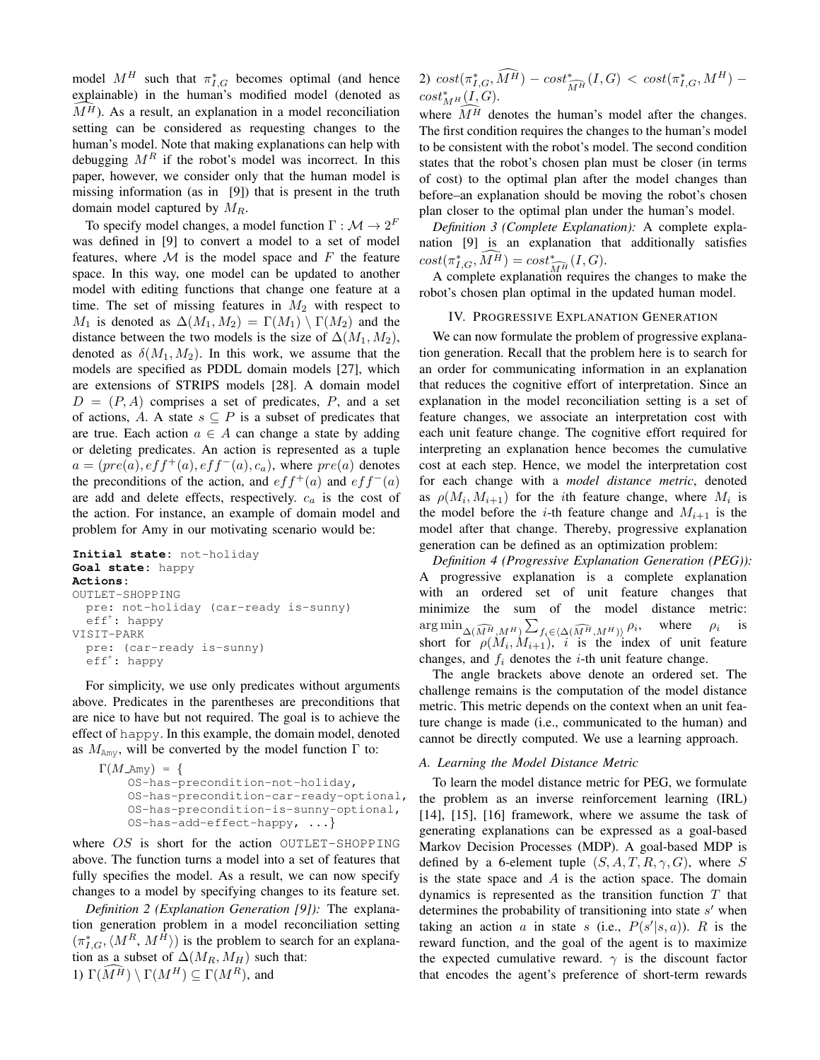model  $M^H$  such that  $\pi_{I,G}^*$  becomes optimal (and hence explainable) in the human's modified model (denoted as  $M<sup>H</sup>$ ). As a result, an explanation in a model reconciliation setting can be considered as requesting changes to the human's model. Note that making explanations can help with debugging  $M<sup>R</sup>$  if the robot's model was incorrect. In this paper, however, we consider only that the human model is missing information (as in [9]) that is present in the truth domain model captured by  $M_R$ .

To specify model changes, a model function  $\Gamma : \mathcal{M} \to 2^F$ was defined in [9] to convert a model to a set of model features, where  $M$  is the model space and  $F$  the feature space. In this way, one model can be updated to another model with editing functions that change one feature at a time. The set of missing features in  $M_2$  with respect to  $M_1$  is denoted as  $\Delta(M_1, M_2) = \Gamma(M_1) \setminus \Gamma(M_2)$  and the distance between the two models is the size of  $\Delta(M_1, M_2)$ , denoted as  $\delta(M_1, M_2)$ . In this work, we assume that the models are specified as PDDL domain models [27], which are extensions of STRIPS models [28]. A domain model  $D = (P, A)$  comprises a set of predicates, P, and a set of actions, A. A state  $s \subseteq P$  is a subset of predicates that are true. Each action  $a \in A$  can change a state by adding or deleting predicates. An action is represented as a tuple  $a = (pre(a), eff<sup>+</sup>(a), eff<sup>-</sup>(a), c<sub>a</sub>)$ , where  $pre(a)$  denotes the preconditions of the action, and  $eff^+(a)$  and  $eff^-(a)$ are add and delete effects, respectively.  $c_a$  is the cost of the action. For instance, an example of domain model and problem for Amy in our motivating scenario would be:

## Initial state: not-holiday Goal state: happy Actions: OUTLET-SHOPPING pre: not-holiday (car-ready is-sunny)  $eff^{\dagger}$ : happy VISIT-PARK pre: (car-ready is-sunny)  $eff<sup>+</sup>: happy$

For simplicity, we use only predicates without arguments above. Predicates in the parentheses are preconditions that are nice to have but not required. The goal is to achieve the effect of happy. In this example, the domain model, denoted as  $M_{\text{Amy}}$ , will be converted by the model function  $\Gamma$  to:

```
\Gamma(M \text{,} \text{Any}) = \{OS-has-precondition-not-holiday,
    OS-has-precondition-car-ready-optional,
    OS-has-precondition-is-sunny-optional,
    OS-has-add-effect-happy, ...
```
where  $OS$  is short for the action OUTLET-SHOPPING above. The function turns a model into a set of features that fully specifies the model. As a result, we can now specify changes to a model by specifying changes to its feature set.

Definition 2 (Explanation Generation [9]): The explanation generation problem in a model reconciliation setting  $(\pi_{I,G}^*, \langle M^R, M^H \rangle)$  is the problem to search for an explanation as a subset of  $\Delta(M_R, M_H)$  such that: 1)  $\Gamma(\widehat{M}^{\widehat{H}}) \setminus \Gamma(M^H) \subseteq \Gamma(M^R)$ , and

2)  $cost(\pi_{I,G}^*, \widehat{M^H}) - cost_{\widehat{M^H}}^*(I, G) < cost(\pi_{I,G}^*, M^H) cost^*_{MH}(I, G)$ .

where  $\overline{M}{}^{\overline{H}}$  denotes the human's model after the changes. The first condition requires the changes to the human's model to be consistent with the robot's model. The second condition states that the robot's chosen plan must be closer (in terms of cost) to the optimal plan after the model changes than before–an explanation should be moving the robot's chosen plan closer to the optimal plan under the human's model.

Definition 3 (Complete Explanation): A complete explanation [9] is an explanation that additionally satisfies  $cost(\pi_{I,G}^*, \widehat{M^H}) = cost_{\widehat{M^H}}^*(I,G).$ 

A complete explanation requires the changes to make the robot's chosen plan optimal in the updated human model.

# IV. PROGRESSIVE EXPLANATION GENERATION

We can now formulate the problem of progressive explanation generation. Recall that the problem here is to search for an order for communicating information in an explanation that reduces the cognitive effort of interpretation. Since an explanation in the model reconciliation setting is a set of feature changes, we associate an interpretation cost with each unit feature change. The cognitive effort required for interpreting an explanation hence becomes the cumulative cost at each step. Hence, we model the interpretation cost for each change with a *model distance metric*, denoted as  $\rho(M_i, M_{i+1})$  for the *i*th feature change, where  $M_i$  is the model before the *i*-th feature change and  $M_{i+1}$  is the model after that change. Thereby, progressive explanation generation can be defined as an optimization problem:

Definition 4 (Progressive Explanation Generation (PEG)): A progressive explanation is a complete explanation with an ordered set of unit feature changes that minimize the sum of the model distance metric:  $\arg\min_{\Delta(\widehat{M^H},M^H)}\sum_{f_i\in\langle\Delta(\widehat{M^H},M^H)\rangle}\rho_i,$ where  $\rho_i$ *is* short for  $\rho(M_i, M_{i+1}), i$  is the index of unit feature changes, and  $f_i$  denotes the *i*-th unit feature change.

The angle brackets above denote an ordered set. The challenge remains is the computation of the model distance metric. This metric depends on the context when an unit feature change is made (i.e., communicated to the human) and cannot be directly computed. We use a learning approach.

## A. Learning the Model Distance Metric

To learn the model distance metric for PEG, we formulate the problem as an inverse reinforcement learning (IRL)  $[14]$ ,  $[15]$ ,  $[16]$  framework, where we assume the task of generating explanations can be expressed as a goal-based Markov Decision Processes (MDP). A goal-based MDP is defined by a 6-element tuple  $(S, A, T, R, \gamma, G)$ , where S is the state space and  $A$  is the action space. The domain dynamics is represented as the transition function  $T$  that determines the probability of transitioning into state  $s'$  when taking an action a in state s (i.e.,  $P(s'|s, a)$ ). R is the reward function, and the goal of the agent is to maximize the expected cumulative reward.  $\gamma$  is the discount factor that encodes the agent's preference of short-term rewards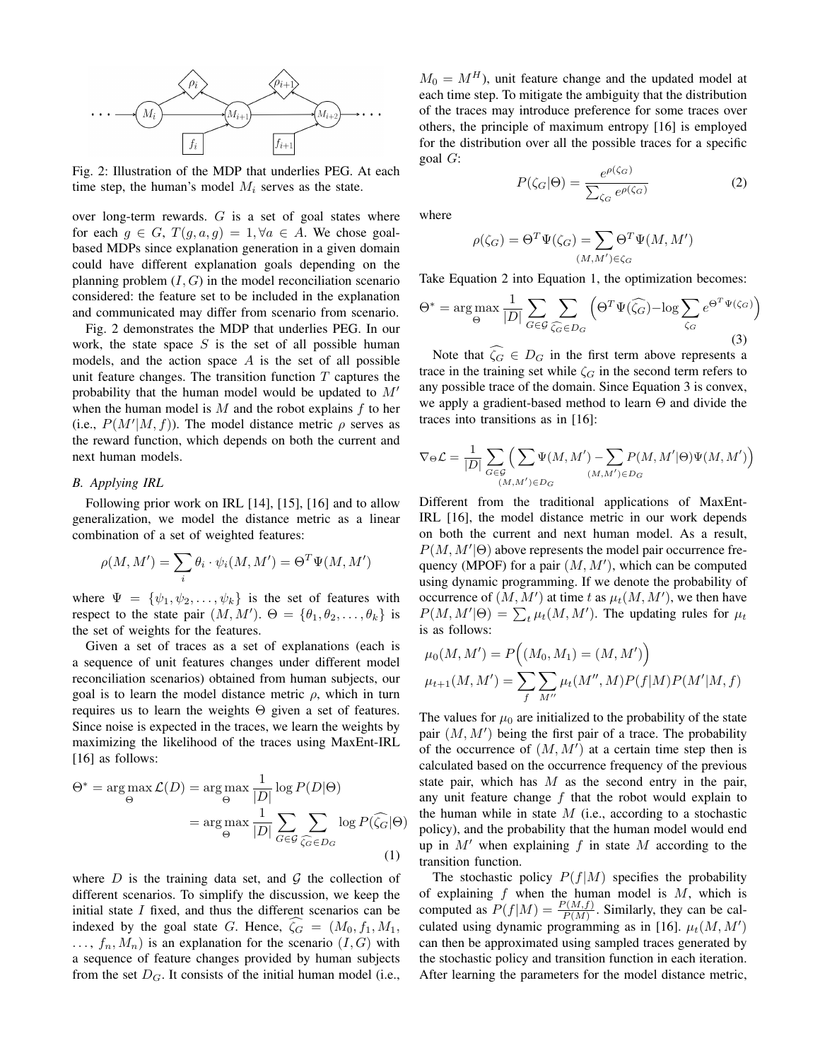

Fig. 2: Illustration of the MDP that underlies PEG. At each time step, the human's model  $M_i$  serves as the state.

over long-term rewards.  $G$  is a set of goal states where for each  $g \in G$ ,  $T(g, a, g) = 1, \forall a \in A$ . We chose goalbased MDPs since explanation generation in a given domain could have different explanation goals depending on the planning problem  $(I, G)$  in the model reconciliation scenario considered: the feature set to be included in the explanation and communicated may differ from scenario from scenario.

Fig. 2 demonstrates the MDP that underlies PEG. In our work, the state space  $S$  is the set of all possible human models, and the action space  $A$  is the set of all possible unit feature changes. The transition function  $T$  captures the probability that the human model would be updated to  $M'$ when the human model is  $M$  and the robot explains  $f$  to her (i.e.,  $P(M'|M, f)$ ). The model distance metric  $\rho$  serves as the reward function, which depends on both the current and next human models.

## **B.** Applying IRL

Following prior work on IRL [14], [15], [16] and to allow generalization, we model the distance metric as a linear combination of a set of weighted features:

$$
\rho(M, M') = \sum_{i} \theta_i \cdot \psi_i(M, M') = \Theta^T \Psi(M, M')
$$

where  $\Psi = {\psi_1, \psi_2, \dots, \psi_k}$  is the set of features with respect to the state pair  $(M, M')$ .  $\Theta = {\theta_1, \theta_2, \dots, \theta_k}$  is the set of weights for the features.

Given a set of traces as a set of explanations (each is a sequence of unit features changes under different model reconciliation scenarios) obtained from human subjects, our goal is to learn the model distance metric  $\rho$ , which in turn requires us to learn the weights  $\Theta$  given a set of features. Since noise is expected in the traces, we learn the weights by maximizing the likelihood of the traces using MaxEnt-IRL  $[16]$  as follows:

$$
\Theta^* = \arg \max_{\Theta} \mathcal{L}(D) = \arg \max_{\Theta} \frac{1}{|D|} \log P(D|\Theta)
$$

$$
= \arg \max_{\Theta} \frac{1}{|D|} \sum_{G \in \mathcal{G}} \sum_{\widehat{\zeta_G} \in D_G} \log P(\widehat{\zeta_G}|\Theta)
$$
(1)

where D is the training data set, and  $G$  the collection of different scenarios. To simplify the discussion, we keep the initial state  $I$  fixed, and thus the different scenarios can be indexed by the goal state G. Hence,  $\zeta_G = (M_0, f_1, M_1,$  $\ldots$ ,  $f_n, M_n$ ) is an explanation for the scenario  $(I, G)$  with a sequence of feature changes provided by human subjects from the set  $D_G$ . It consists of the initial human model (i.e.,

 $M_0 = M^H$ ), unit feature change and the updated model at each time step. To mitigate the ambiguity that the distribution of the traces may introduce preference for some traces over others, the principle of maximum entropy [16] is employed for the distribution over all the possible traces for a specific goal  $G$ :

$$
P(\zeta_G|\Theta) = \frac{e^{\rho(\zeta_G)}}{\sum_{\zeta_G} e^{\rho(\zeta_G)}}\tag{2}
$$

where

$$
\rho(\zeta_G) = \Theta^T \Psi(\zeta_G) = \sum_{(M,M') \in \zeta_G} \Theta^T \Psi(M,M')
$$

Take Equation 2 into Equation 1, the optimization becomes:

$$
\Theta^* = \arg \max_{\Theta} \frac{1}{|D|} \sum_{G \in \mathcal{G}} \sum_{\widehat{\zeta_G} \in D_G} \left( \Theta^T \Psi(\widehat{\zeta_G}) - \log \sum_{\zeta_G} e^{\Theta^T \Psi(\zeta_G)} \right)
$$
\n(3)

Note that  $\zeta_G \in D_G$  in the first term above represents a trace in the training set while  $\zeta_G$  in the second term refers to any possible trace of the domain. Since Equation 3 is convex, we apply a gradient-based method to learn  $\Theta$  and divide the traces into transitions as in  $[16]$ :

$$
\nabla_{\Theta} \mathcal{L} = \frac{1}{|D|} \sum_{G \in \mathcal{G}} \Big( \sum_{(M,M') \in D_G} \Psi(M, M') - \sum_{(M,M') \in D_G} P(M, M' | \Theta) \Psi(M, M') \Big)
$$

Different from the traditional applications of MaxEnt-IRL [16], the model distance metric in our work depends on both the current and next human model. As a result,  $P(M, M'|\Theta)$  above represents the model pair occurrence frequency (MPOF) for a pair  $(M, M')$ , which can be computed using dynamic programming. If we denote the probability of occurrence of  $(M, M')$  at time t as  $\mu_t(M, M')$ , we then have  $P(M, M'|\Theta) = \sum_t \mu_t(M, M')$ . The updating rules for  $\mu_t$ is as follows:

$$
\mu_0(M, M') = P\left((M_0, M_1) = (M, M')\right)
$$
  

$$
\mu_{t+1}(M, M') = \sum_f \sum_{M''} \mu_t(M'', M) P(f|M) P(M'|M, f)
$$

The values for  $\mu_0$  are initialized to the probability of the state pair  $(M, M')$  being the first pair of a trace. The probability of the occurrence of  $(M, M')$  at a certain time step then is calculated based on the occurrence frequency of the previous state pair, which has  $M$  as the second entry in the pair, any unit feature change  $f$  that the robot would explain to the human while in state  $M$  (i.e., according to a stochastic policy), and the probability that the human model would end up in  $M'$  when explaining  $f$  in state  $M$  according to the transition function.

The stochastic policy  $P(f|M)$  specifies the probability of explaining  $f$  when the human model is  $M$ , which is computed as  $P(f|M) = \frac{P(M, f)}{P(M)}$ . Similarly, they can be calculated using dynamic programming as in [16].  $\mu_t(M, M')$ can then be approximated using sampled traces generated by the stochastic policy and transition function in each iteration. After learning the parameters for the model distance metric,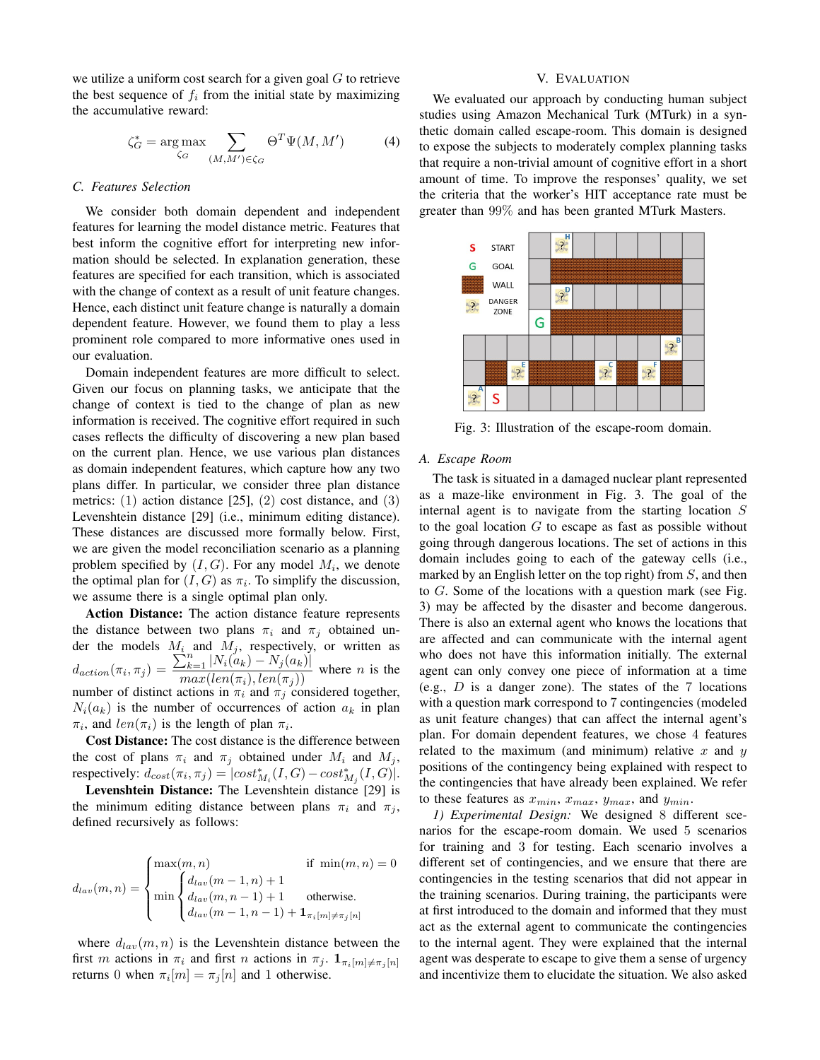we utilize a uniform cost search for a given goal  $G$  to retrieve the best sequence of  $f_i$  from the initial state by maximizing the accumulative reward:

$$
\zeta_G^* = \underset{\zeta_G}{\arg \max} \sum_{(M,M') \in \zeta_G} \Theta^T \Psi(M,M') \tag{4}
$$

#### C. Features Selection

We consider both domain dependent and independent features for learning the model distance metric. Features that best inform the cognitive effort for interpreting new information should be selected. In explanation generation, these features are specified for each transition, which is associated with the change of context as a result of unit feature changes. Hence, each distinct unit feature change is naturally a domain dependent feature. However, we found them to play a less prominent role compared to more informative ones used in our evaluation.

Domain independent features are more difficult to select. Given our focus on planning tasks, we anticipate that the change of context is tied to the change of plan as new information is received. The cognitive effort required in such cases reflects the difficulty of discovering a new plan based on the current plan. Hence, we use various plan distances as domain independent features, which capture how any two plans differ. In particular, we consider three plan distance metrics:  $(1)$  action distance [25],  $(2)$  cost distance, and  $(3)$ Levenshtein distance [29] (i.e., minimum editing distance). These distances are discussed more formally below. First, we are given the model reconciliation scenario as a planning problem specified by  $(I, G)$ . For any model  $M_i$ , we denote the optimal plan for  $(I, G)$  as  $\pi_i$ . To simplify the discussion, we assume there is a single optimal plan only.

Action Distance: The action distance feature represents the distance between two plans  $\pi_i$  and  $\pi_j$  obtained under the models  $M_i$  and  $M_j$ , respectively, or written as <br>  $d_{action}(\pi_i, \pi_j) = \frac{\sum_{k=1}^{n} |N_i(a_k) - N_j(a_k)|}{max(len(\pi_i) \ len(\pi_i))}$  where *n* is the  $u_{action}(\pi_i, \pi_j) = \frac{max(len(\pi_i), len(\pi_j)))}{max(len(\pi_i), len(\pi_j))}$  where *n* is the number of distinct actions in  $\pi_i$  and  $\pi_j$  considered together,  $N_i(a_k)$  is the number of occurrences of action  $a_k$  in plan  $\pi_i$ , and  $len(\pi_i)$  is the length of plan  $\pi_i$ .

Cost Distance: The cost distance is the difference between the cost of plans  $\pi_i$  and  $\pi_j$  obtained under  $M_i$  and  $M_j$ , respectively:  $d_{cost}(\pi_i, \pi_j) = |cost^*_{M_i}(I, G) - cost^*_{M_i}(I, G)|$ .

Levenshtein Distance: The Levenshtein distance [29] is the minimum editing distance between plans  $\pi_i$  and  $\pi_j$ , defined recursively as follows:

$$
d_{lav}(m, n) = \begin{cases} \max(m, n) & \text{if } \min(m, n) = 0\\ \min\begin{cases} d_{lav}(m - 1, n) + 1\\ d_{lav}(m, n - 1) + 1 & \text{otherwise.}\\ d_{lav}(m - 1, n - 1) + \mathbf{1}_{\pi_i[m] \neq \pi_j[n]} \end{cases} \end{cases}
$$

where  $d_{lav}(m, n)$  is the Levenshtein distance between the first m actions in  $\pi_i$  and first n actions in  $\pi_j$ .  $\mathbf{1}_{\pi_i[m]\neq \pi_j[n]}$ returns 0 when  $\pi_i[m] = \pi_j[n]$  and 1 otherwise.

## V. EVALUATION

We evaluated our approach by conducting human subject studies using Amazon Mechanical Turk (MTurk) in a synthetic domain called escape-room. This domain is designed to expose the subjects to moderately complex planning tasks that require a non-trivial amount of cognitive effort in a short amount of time. To improve the responses' quality, we set the criteria that the worker's HIT acceptance rate must be greater than 99% and has been granted MTurk Masters.



Fig. 3: Illustration of the escape-room domain.

#### A. Escape Room

The task is situated in a damaged nuclear plant represented as a maze-like environment in Fig. 3. The goal of the internal agent is to navigate from the starting location  $S$ to the goal location  $G$  to escape as fast as possible without going through dangerous locations. The set of actions in this domain includes going to each of the gateway cells (i.e., marked by an English letter on the top right) from  $S$ , and then to  $G$ . Some of the locations with a question mark (see Fig. 3) may be affected by the disaster and become dangerous. There is also an external agent who knows the locations that are affected and can communicate with the internal agent who does not have this information initially. The external agent can only convey one piece of information at a time (e.g.,  $D$  is a danger zone). The states of the 7 locations with a question mark correspond to 7 contingencies (modeled as unit feature changes) that can affect the internal agent's plan. For domain dependent features, we chose 4 features related to the maximum (and minimum) relative  $x$  and  $y$ positions of the contingency being explained with respect to the contingencies that have already been explained. We refer to these features as  $x_{min}$ ,  $x_{max}$ ,  $y_{max}$ , and  $y_{min}$ .

1) Experimental Design: We designed 8 different scenarios for the escape-room domain. We used 5 scenarios for training and 3 for testing. Each scenario involves a different set of contingencies, and we ensure that there are contingencies in the testing scenarios that did not appear in the training scenarios. During training, the participants were at first introduced to the domain and informed that they must act as the external agent to communicate the contingencies to the internal agent. They were explained that the internal agent was desperate to escape to give them a sense of urgency and incentivize them to elucidate the situation. We also asked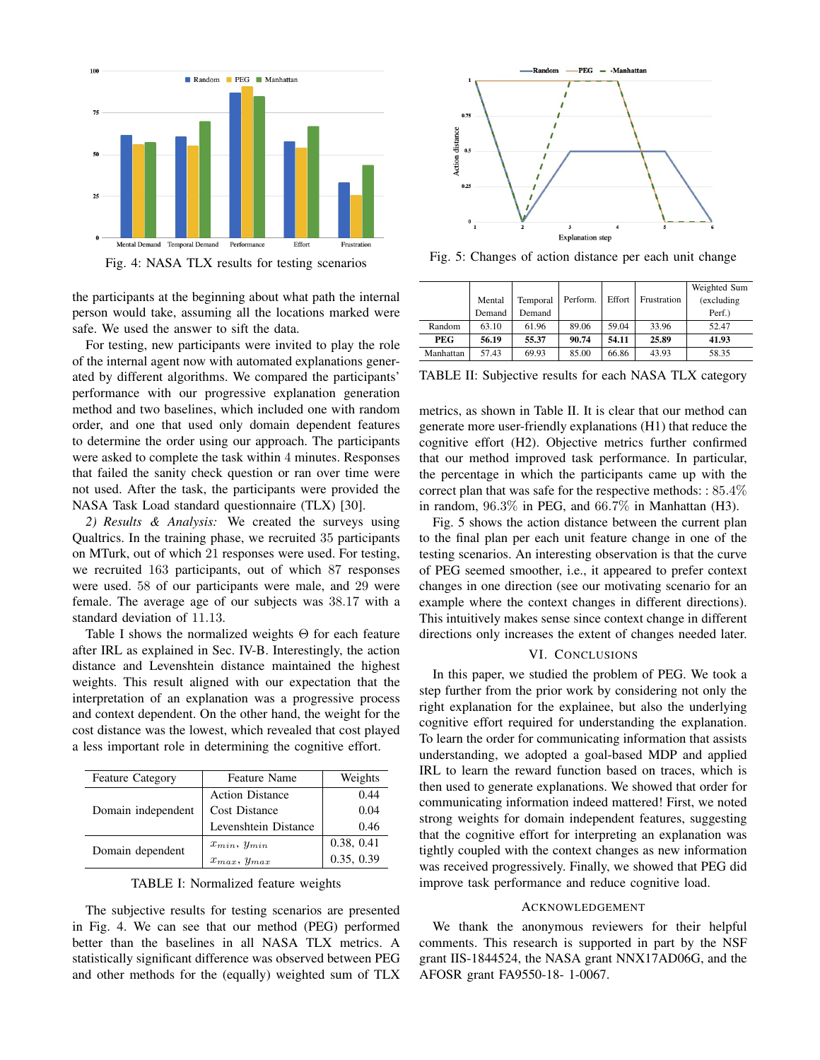

Fig. 4: NASA TLX results for testing scenarios

the participants at the beginning about what path the internal person would take, assuming all the locations marked were safe. We used the answer to sift the data.

For testing, new participants were invited to play the role of the internal agent now with automated explanations generated by different algorithms. We compared the participants' performance with our progressive explanation generation method and two baselines, which included one with random order, and one that used only domain dependent features to determine the order using our approach. The participants were asked to complete the task within 4 minutes. Responses that failed the sanity check question or ran over time were not used. After the task, the participants were provided the NASA Task Load standard questionnaire (TLX) [30].

2) Results & Analysis: We created the surveys using Qualtrics. In the training phase, we recruited 35 participants on MTurk, out of which 21 responses were used. For testing, we recruited 163 participants, out of which 87 responses were used. 58 of our participants were male, and 29 were female. The average age of our subjects was 38.17 with a standard deviation of 11.13.

Table I shows the normalized weights  $\Theta$  for each feature after IRL as explained in Sec. IV-B. Interestingly, the action distance and Levenshtein distance maintained the highest weights. This result aligned with our expectation that the interpretation of an explanation was a progressive process and context dependent. On the other hand, the weight for the cost distance was the lowest, which revealed that cost played a less important role in determining the cognitive effort.

| <b>Feature Category</b> | <b>Feature Name</b>    | Weights    |
|-------------------------|------------------------|------------|
| Domain independent      | <b>Action Distance</b> | 0.44       |
|                         | Cost Distance          | 0.04       |
|                         | Levenshtein Distance   | 0.46       |
| Domain dependent        | $x_{min}, y_{min}$     | 0.38, 0.41 |
|                         | $x_{max}, y_{max}$     | 0.35, 0.39 |

TABLE I: Normalized feature weights

The subjective results for testing scenarios are presented in Fig. 4. We can see that our method (PEG) performed better than the baselines in all NASA TLX metrics. A statistically significant difference was observed between PEG and other methods for the (equally) weighted sum of TLX



Fig. 5: Changes of action distance per each unit change

|            |        |          |          |        |             | Weighted Sum |
|------------|--------|----------|----------|--------|-------------|--------------|
|            | Mental | Temporal | Perform. | Effort | Frustration | (excluding)  |
|            | Demand | Demand   |          |        |             | Perf.)       |
| Random     | 63.10  | 61.96    | 89.06    | 59.04  | 33.96       | 52.47        |
| <b>PEG</b> | 56.19  | 55.37    | 90.74    | 54.11  | 25.89       | 41.93        |
| Manhattan  | 57.43  | 69.93    | 85.00    | 66.86  | 43.93       | 58.35        |

TABLE II: Subjective results for each NASA TLX category

metrics, as shown in Table II. It is clear that our method can generate more user-friendly explanations (H1) that reduce the cognitive effort (H2). Objective metrics further confirmed that our method improved task performance. In particular, the percentage in which the participants came up with the correct plan that was safe for the respective methods: :  $85.4\%$ in random, 96.3% in PEG, and 66.7% in Manhattan (H3).

Fig. 5 shows the action distance between the current plan to the final plan per each unit feature change in one of the testing scenarios. An interesting observation is that the curve of PEG seemed smoother, i.e., it appeared to prefer context changes in one direction (see our motivating scenario for an example where the context changes in different directions). This intuitively makes sense since context change in different directions only increases the extent of changes needed later.

## VI. CONCLUSIONS

In this paper, we studied the problem of PEG. We took a step further from the prior work by considering not only the right explanation for the explainee, but also the underlying cognitive effort required for understanding the explanation. To learn the order for communicating information that assists understanding, we adopted a goal-based MDP and applied IRL to learn the reward function based on traces, which is then used to generate explanations. We showed that order for communicating information indeed mattered! First, we noted strong weights for domain independent features, suggesting that the cognitive effort for interpreting an explanation was tightly coupled with the context changes as new information was received progressively. Finally, we showed that PEG did improve task performance and reduce cognitive load.

#### ACKNOWLEDGEMENT

We thank the anonymous reviewers for their helpful comments. This research is supported in part by the NSF grant IIS-1844524, the NASA grant NNX17AD06G, and the AFOSR grant FA9550-18-1-0067.